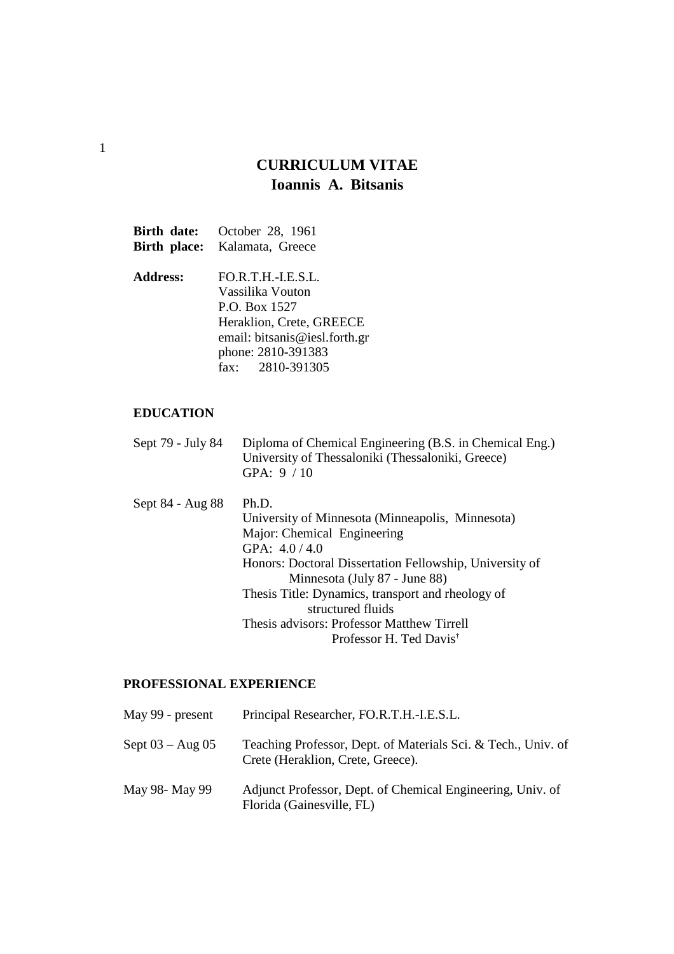# **CURRICULUM VITAE Ioannis A. Bitsanis**

|                 | <b>Birth date:</b> October 28, 1961  |
|-----------------|--------------------------------------|
|                 | <b>Birth place:</b> Kalamata, Greece |
| <b>Address:</b> | FO.R.T.H.-I.E.S.L.                   |
|                 | Vassilika Vouton                     |
|                 | P.O. Box 1527                        |
|                 | Heraklion, Crete, GREECE             |
|                 | email: bitsanis@iesl.forth.gr        |
|                 | phone: 2810-391383                   |
|                 | fax: 2810-391305                     |

# **EDUCATION**

| Sept 79 - July 84 | Diploma of Chemical Engineering (B.S. in Chemical Eng.) |
|-------------------|---------------------------------------------------------|
|                   | University of Thessaloniki (Thessaloniki, Greece)       |
|                   | GPA: $9/10$                                             |
|                   |                                                         |

| Sept 84 - Aug 88 | Ph.D.                                                   |
|------------------|---------------------------------------------------------|
|                  | University of Minnesota (Minneapolis, Minnesota)        |
|                  | Major: Chemical Engineering                             |
|                  | GPA: $4.0 / 4.0$                                        |
|                  | Honors: Doctoral Dissertation Fellowship, University of |
|                  | Minnesota (July 87 - June 88)                           |
|                  | Thesis Title: Dynamics, transport and rheology of       |
|                  | structured fluids                                       |
|                  | Thesis advisors: Professor Matthew Tirrell              |
|                  | Professor H. Ted Davis <sup>†</sup>                     |

# **PROFESSIONAL EXPERIENCE**

| May 99 - present    | Principal Researcher, FO.R.T.H.-I.E.S.L.                                                           |
|---------------------|----------------------------------------------------------------------------------------------------|
| Sept $03 - Aug\ 05$ | Teaching Professor, Dept. of Materials Sci. & Tech., Univ. of<br>Crete (Heraklion, Crete, Greece). |
| May 98- May 99      | Adjunct Professor, Dept. of Chemical Engineering, Univ. of<br>Florida (Gainesville, FL)            |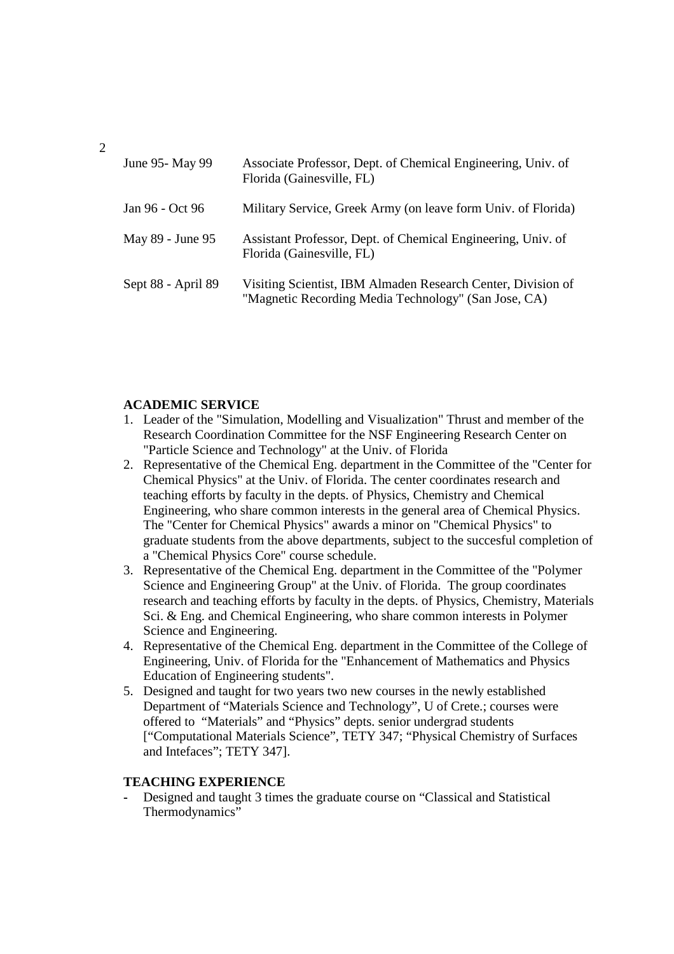| June 95 - May 99   | Associate Professor, Dept. of Chemical Engineering, Univ. of<br>Florida (Gainesville, FL)                            |
|--------------------|----------------------------------------------------------------------------------------------------------------------|
| Jan 96 - Oct 96    | Military Service, Greek Army (on leave form Univ. of Florida)                                                        |
| May 89 - June 95   | Assistant Professor, Dept. of Chemical Engineering, Univ. of<br>Florida (Gainesville, FL)                            |
| Sept 88 - April 89 | Visiting Scientist, IBM Almaden Research Center, Division of<br>"Magnetic Recording Media Technology" (San Jose, CA) |

# **ACADEMIC SERVICE**

- 1. Leader of the "Simulation, Modelling and Visualization" Thrust and member of the Research Coordination Committee for the NSF Engineering Research Center on "Particle Science and Technology" at the Univ. of Florida
- 2. Representative of the Chemical Eng. department in the Committee of the "Center for Chemical Physics" at the Univ. of Florida. The center coordinates research and teaching efforts by faculty in the depts. of Physics, Chemistry and Chemical Engineering, who share common interests in the general area of Chemical Physics. The "Center for Chemical Physics" awards a minor on "Chemical Physics" to graduate students from the above departments, subject to the succesful completion of a "Chemical Physics Core" course schedule.
- 3. Representative of the Chemical Eng. department in the Committee of the "Polymer Science and Engineering Group" at the Univ. of Florida. The group coordinates research and teaching efforts by faculty in the depts. of Physics, Chemistry, Materials Sci. & Eng. and Chemical Engineering, who share common interests in Polymer Science and Engineering.
- 4. Representative of the Chemical Eng. department in the Committee of the College of Engineering, Univ. of Florida for the "Enhancement of Mathematics and Physics Education of Engineering students".
- 5. Designed and taught for two years two new courses in the newly established Department of "Materials Science and Technology", U of Crete.; courses were offered to "Materials" and "Physics" depts. senior undergrad students ["Computational Materials Science", TETY 347; "Physical Chemistry of Surfaces and Intefaces"; TETY 347].

## **TEACHING EXPERIENCE**

**-** Designed and taught 3 times the graduate course on "Classical and Statistical Thermodynamics"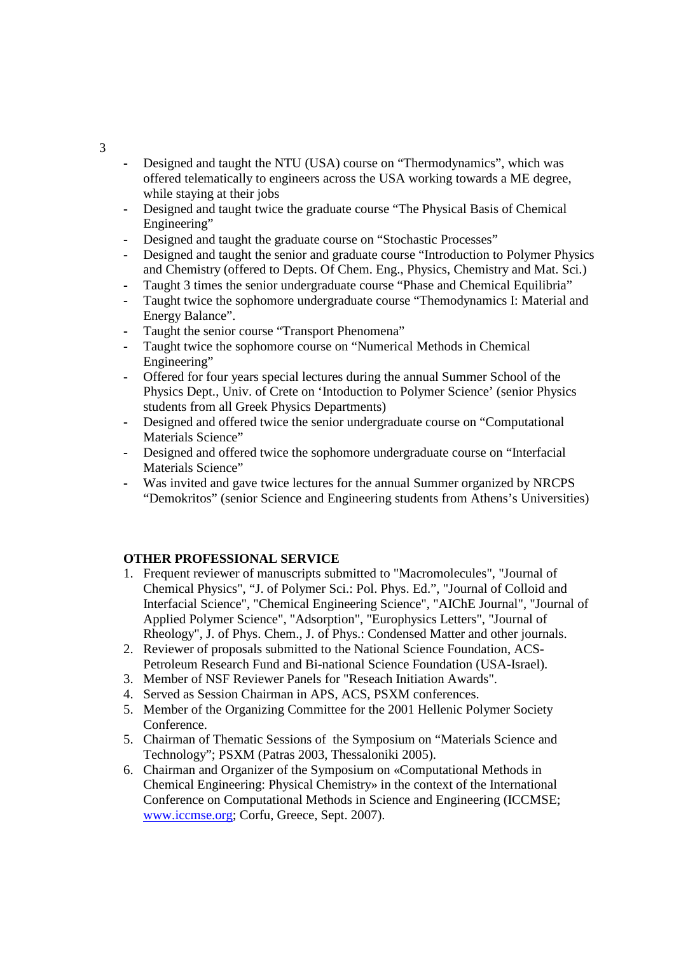- **-** Designed and taught the NTU (USA) course on "Thermodynamics", which was offered telematically to engineers across the USA working towards a ME degree, while staying at their jobs
- **-** Designed and taught twice the graduate course "The Physical Basis of Chemical Engineering"
- **-** Designed and taught the graduate course on "Stochastic Processes"
- **-** Designed and taught the senior and graduate course "Introduction to Polymer Physics and Chemistry (offered to Depts. Of Chem. Eng., Physics, Chemistry and Mat. Sci.)
- **-** Taught 3 times the senior undergraduate course "Phase and Chemical Equilibria"
- **-** Taught twice the sophomore undergraduate course "Themodynamics I: Material and Energy Balance".
- Taught the senior course "Transport Phenomena"
- **-** Taught twice the sophomore course on "Numerical Methods in Chemical Engineering"
- **-** Offered for four years special lectures during the annual Summer School of the Physics Dept., Univ. of Crete on 'Intoduction to Polymer Science' (senior Physics students from all Greek Physics Departments)
- **-** Designed and offered twice the senior undergraduate course on "Computational Materials Science"
- **-** Designed and offered twice the sophomore undergraduate course on "Interfacial Materials Science"
- **-** Was invited and gave twice lectures for the annual Summer organized by NRCPS "Demokritos" (senior Science and Engineering students from Athens's Universities)

# **OTHER PROFESSIONAL SERVICE**

- 1. Frequent reviewer of manuscripts submitted to "Macromolecules", "Journal of Chemical Physics", "J. of Polymer Sci.: Pol. Phys. Ed.", "Journal of Colloid and Interfacial Science", "Chemical Engineering Science", "AIChE Journal", "Journal of Applied Polymer Science", "Adsorption", "Europhysics Letters", "Journal of Rheology", J. of Phys. Chem., J. of Phys.: Condensed Matter and other journals.
- 2. Reviewer of proposals submitted to the National Science Foundation, ACS-Petroleum Research Fund and Bi-national Science Foundation (USA-Israel).
- 3. Member of NSF Reviewer Panels for "Reseach Initiation Awards".
- 4. Served as Session Chairman in APS, ACS, PSXM conferences.
- 5. Member of the Organizing Committee for the 2001 Hellenic Polymer Society Conference.
- 5. Chairman of Thematic Sessions of the Symposium on "Materials Science and Technology"; PSXM (Patras 2003, Thessaloniki 2005).
- 6. Chairman and Organizer of the Symposium on «Computational Methods in Chemical Engineering: Physical Chemistry» in the context of the International Conference on Computational Methods in Science and Engineering (ICCMSE; www.iccmse.org; Corfu, Greece, Sept. 2007).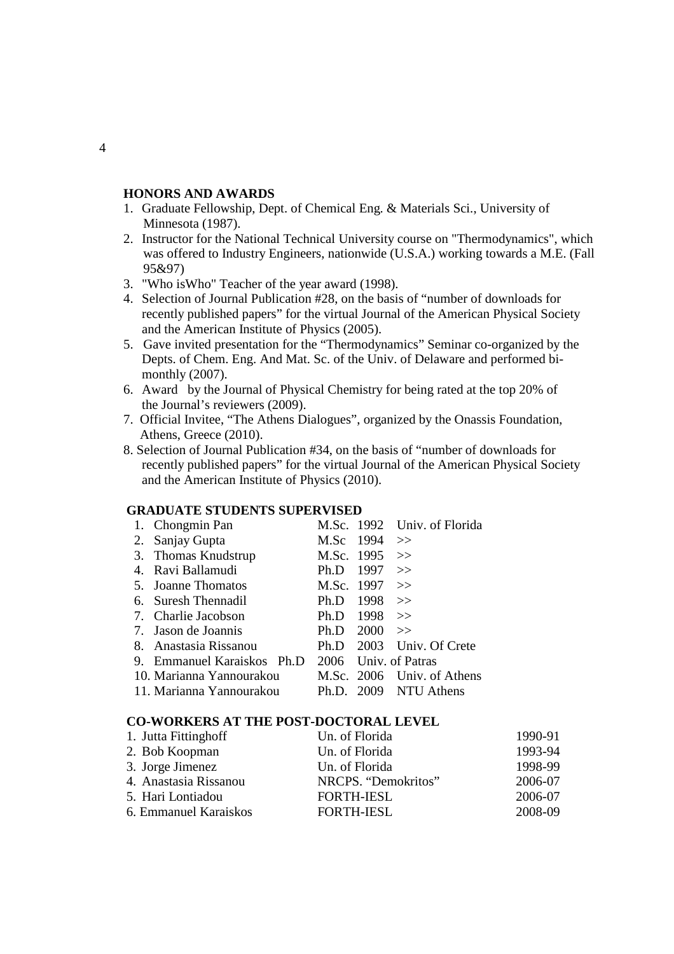# **HONORS AND AWARDS**

- 1. Graduate Fellowship, Dept. of Chemical Eng. & Materials Sci., University of Minnesota (1987).
- 2. Instructor for the National Technical University course on "Thermodynamics", which was offered to Industry Engineers, nationwide (U.S.A.) working towards a M.E. (Fall 95&97)
- 3. "Who isWho" Teacher of the year award (1998).
- 4. Selection of Journal Publication #28, on the basis of "number of downloads for recently published papers" for the virtual Journal of the American Physical Society and the American Institute of Physics (2005).
- 5. Gave invited presentation for the "Thermodynamics" Seminar co-organized by the Depts. of Chem. Eng. And Mat. Sc. of the Univ. of Delaware and performed bi monthly (2007).
- 6. Award by the Journal of Physical Chemistry for being rated at the top 20% of the Journal's reviewers (2009).
- 7. Official Invitee, "The Athens Dialogues", organized by the Onassis Foundation, Athens, Greece (2010).
- 8. Selection of Journal Publication #34, on the basis of "number of downloads for recently published papers" for the virtual Journal of the American Physical Society and the American Institute of Physics (2010).

# **GRADUATE STUDENTS SUPERVISED**

|    | 1. Chongmin Pan          |            |                 | M.Sc. 1992 Univ. of Florida |
|----|--------------------------|------------|-----------------|-----------------------------|
|    | 2. Sanjay Gupta          |            | M.Sc $1994 \gg$ |                             |
| 3. | Thomas Knudstrup         | M.Sc. 1995 |                 | - >>                        |
| 4. | Ravi Ballamudi           | Ph.D       | 1997            | $\gg$                       |
| 5. | Joanne Thomatos          | M.Sc. 1997 |                 | $\gt$                       |
| 6. | Suresh Thennadil         | Ph.D       | 1998            | $\gt$                       |
|    | 7. Charlie Jacobson      | Ph.D       | 1998            | $\gt$                       |
|    | 7. Jason de Joannis      | Ph.D       | 2000            | $\rightarrow$               |
| 8. | Anastasia Rissanou       | Ph.D       | 2003            | Univ. Of Crete              |
| 9. | Emmanuel Karaiskos Ph.D  | 2006       |                 | Univ. of Patras             |
|    | 10. Marianna Yannourakou |            |                 | M.Sc. 2006 Univ. of Athens  |
|    | 11. Marianna Yannourakou | Ph.D.      |                 | 2009 NTU Athens             |

# **CO-WORKERS AT THE POST-DOCTORAL LEVEL**

| 1. Jutta Fittinghoff  | Un. of Florida      | 1990-91 |
|-----------------------|---------------------|---------|
| 2. Bob Koopman        | Un. of Florida      | 1993-94 |
| 3. Jorge Jimenez      | Un. of Florida      | 1998-99 |
| 4. Anastasia Rissanou | NRCPS. "Demokritos" | 2006-07 |
| 5. Hari Lontiadou     | <b>FORTH-IESL</b>   | 2006-07 |
| 6. Emmanuel Karaiskos | <b>FORTH-IESL</b>   | 2008-09 |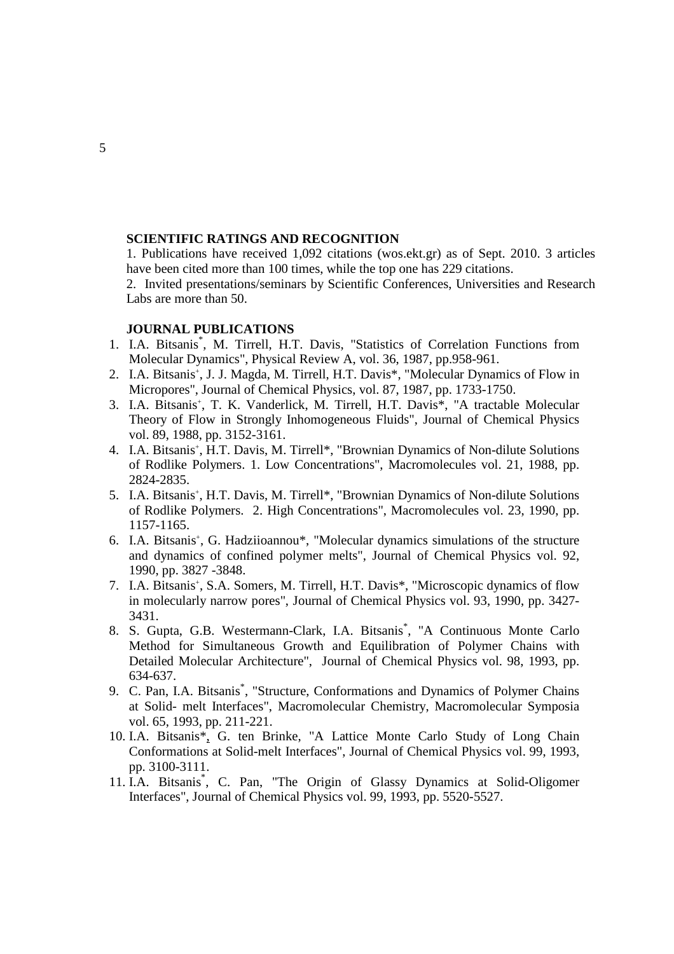#### **SCIENTIFIC RATINGS AND RECOGNITION**

1. Publications have received 1,092 citations (wos.ekt.gr) as of Sept. 2010. 3 articles have been cited more than 100 times, while the top one has 229 citations.

 2. Invited presentations/seminars by Scientific Conferences, Universities and Research Labs are more than 50.

# **JOURNAL PUBLICATIONS**

- 1. I.A. Bitsanis\* , M. Tirrell, H.T. Davis, "Statistics of Correlation Functions from Molecular Dynamics", Physical Review A, vol. 36, 1987, pp.958-961.
- 2. I.A. Bitsanis<sup>+</sup>, J. J. Magda, M. Tirrell, H.T. Davis<sup>\*</sup>, "Molecular Dynamics of Flow in Micropores", Journal of Chemical Physics, vol. 87, 1987, pp. 1733-1750.
- 3. I.A. Bitsanis<sup>+</sup>, T. K. Vanderlick, M. Tirrell, H.T. Davis<sup>\*</sup>, "A tractable Molecular Theory of Flow in Strongly Inhomogeneous Fluids", Journal of Chemical Physics vol. 89, 1988, pp. 3152-3161.
- 4. I.A. Bitsanis<sup>+</sup>, H.T. Davis, M. Tirrell\*, "Brownian Dynamics of Non-dilute Solutions of Rodlike Polymers. 1. Low Concentrations", Macromolecules vol. 21, 1988, pp. 2824-2835.
- 5. I.A. Bitsanis<sup>+</sup>, H.T. Davis, M. Tirrell\*, "Brownian Dynamics of Non-dilute Solutions of Rodlike Polymers. 2. High Concentrations", Macromolecules vol. 23, 1990, pp. 1157-1165.
- 6. I.A. Bitsanis<sup>+</sup>, G. Hadziioannou<sup>\*</sup>, "Molecular dynamics simulations of the structure and dynamics of confined polymer melts", Journal of Chemical Physics vol. 92, 1990, pp. 3827 -3848.
- 7. I.A. Bitsanis<sup>+</sup>, S.A. Somers, M. Tirrell, H.T. Davis\*, "Microscopic dynamics of flow in molecularly narrow pores", Journal of Chemical Physics vol. 93, 1990, pp. 3427- 3431.
- 8. S. Gupta, G.B. Westermann-Clark, I.A. Bitsanis\* , "A Continuous Monte Carlo Method for Simultaneous Growth and Equilibration of Polymer Chains with Detailed Molecular Architecture", Journal of Chemical Physics vol. 98, 1993, pp. 634-637.
- 9. C. Pan, I.A. Bitsanis<sup>\*</sup>, "Structure, Conformations and Dynamics of Polymer Chains at Solid- melt Interfaces", Macromolecular Chemistry, Macromolecular Symposia vol. 65, 1993, pp. 211-221.
- 10. I.A. Bitsanis\*, G. ten Brinke, "A Lattice Monte Carlo Study of Long Chain Conformations at Solid-melt Interfaces", Journal of Chemical Physics vol. 99, 1993, pp. 3100-3111.
- 11. I.A. Bitsanis\* , C. Pan, "The Origin of Glassy Dynamics at Solid-Oligomer Interfaces", Journal of Chemical Physics vol. 99, 1993, pp. 5520-5527.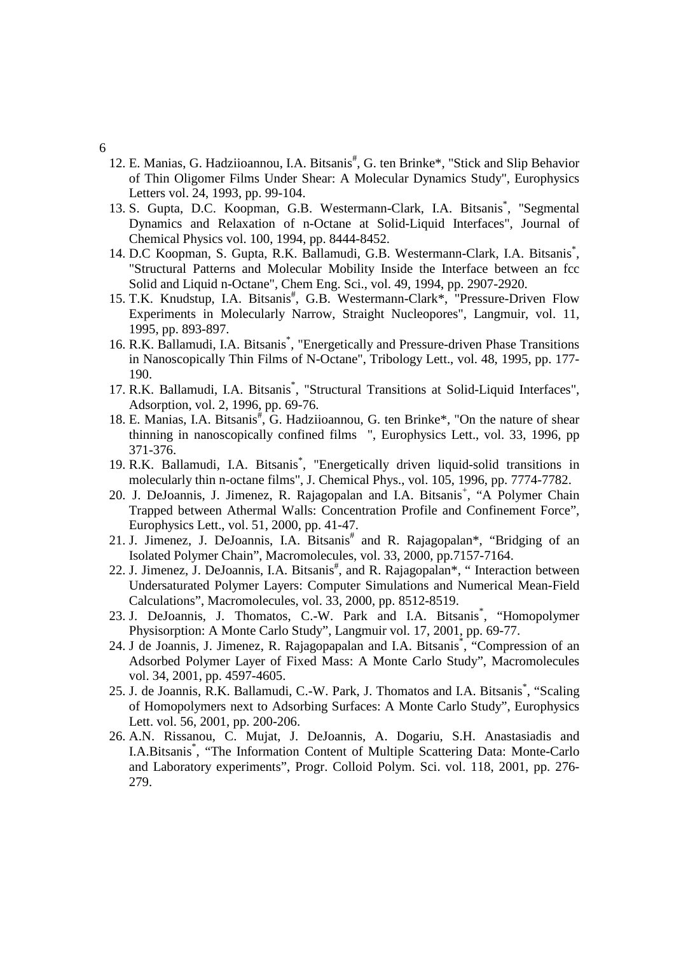- 6
- 12. E. Manias, G. Hadziioannou, I.A. Bitsanis<sup>#</sup>, G. ten Brinke\*, "Stick and Slip Behavior of Thin Oligomer Films Under Shear: A Molecular Dynamics Study", Europhysics Letters vol. 24, 1993, pp. 99-104.
- 13. S. Gupta, D.C. Koopman, G.B. Westermann-Clark, I.A. Bitsanis<sup>\*</sup>, "Segmental Dynamics and Relaxation of n-Octane at Solid-Liquid Interfaces", Journal of Chemical Physics vol. 100, 1994, pp. 8444-8452.
- 14. D.C Koopman, S. Gupta, R.K. Ballamudi, G.B. Westermann-Clark, I.A. Bitsanis\* , "Structural Patterns and Molecular Mobility Inside the Interface between an fcc Solid and Liquid n-Octane"*,* Chem Eng. Sci., vol. 49, 1994, pp. 2907-2920.
- 15. T.K. Knudstup, I.A. Bitsanis#, G.B. Westermann-Clark\*, "Pressure-Driven Flow Experiments in Molecularly Narrow, Straight Nucleopores", Langmuir, vol. 11, 1995, pp. 893-897.
- 16. R.K. Ballamudi, I.A. Bitsanis<sup>\*</sup>, "Energetically and Pressure-driven Phase Transitions in Nanoscopically Thin Films of N-Octane", Tribology Lett., vol. 48, 1995, pp. 177- 190.
- 17. R.K. Ballamudi, I.A. Bitsanis<sup>\*</sup>, "Structural Transitions at Solid-Liquid Interfaces", Adsorption, vol. 2, 1996, pp. 69-76.
- 18. E. Manias, I.A. Bitsanis<sup>#</sup>, G. Hadziioannou, G. ten Brinke\*, "On the nature of shear thinning in nanoscopically confined films ", Europhysics Lett., vol. 33, 1996, pp 371-376.
- 19. R.K. Ballamudi, I.A. Bitsanis<sup>\*</sup>, "Energetically driven liquid-solid transitions in molecularly thin n-octane films", J. Chemical Phys., vol. 105, 1996, pp. 7774-7782.
- 20. J. DeJoannis, J. Jimenez, R. Rajagopalan and I.A. Bitsanis<sup>+</sup>, "A Polymer Chain Trapped between Athermal Walls: Concentration Profile and Confinement Force", Europhysics Lett., vol. 51, 2000, pp. 41-47.
- 21. J. Jimenez, J. DeJoannis, I.A. Bitsanis<sup>#</sup> and R. Rajagopalan\*, "Bridging of an Isolated Polymer Chain", Macromolecules, vol. 33, 2000, pp.7157-7164.
- 22. J. Jimenez, J. DeJoannis, I.A. Bitsanis<sup>#</sup>, and R. Rajagopalan<sup>\*</sup>, "Interaction between Undersaturated Polymer Layers: Computer Simulations and Numerical Mean-Field Calculations", Macromolecules, vol. 33, 2000, pp. 8512-8519.
- 23. J. DeJoannis, J. Thomatos, C.-W. Park and I.A. Bitsanis<sup>\*</sup>, "Homopolymer Physisorption: A Monte Carlo Study", Langmuir vol. 17, 2001, pp. 69-77.
- 24. J de Joannis, J. Jimenez, R. Rajagopapalan and I.A. Bitsanis<sup>\*</sup>, "Compression of an Adsorbed Polymer Layer of Fixed Mass: A Monte Carlo Study", Macromolecules vol. 34, 2001, pp. 4597-4605.
- 25. J. de Joannis, R.K. Ballamudi, C.-W. Park, J. Thomatos and I.A. Bitsanis<sup>\*</sup>, "Scaling of Homopolymers next to Adsorbing Surfaces: A Monte Carlo Study", Europhysics Lett. vol. 56, 2001, pp. 200-206.
- 26. A.N. Rissanou, C. Mujat, J. DeJoannis, A. Dogariu, S.H. Anastasiadis and I.A.Bitsanis<sup>\*</sup>, "The Information Content of Multiple Scattering Data: Monte-Carlo and Laboratory experiments", Progr. Colloid Polym. Sci. vol. 118, 2001, pp. 276- 279.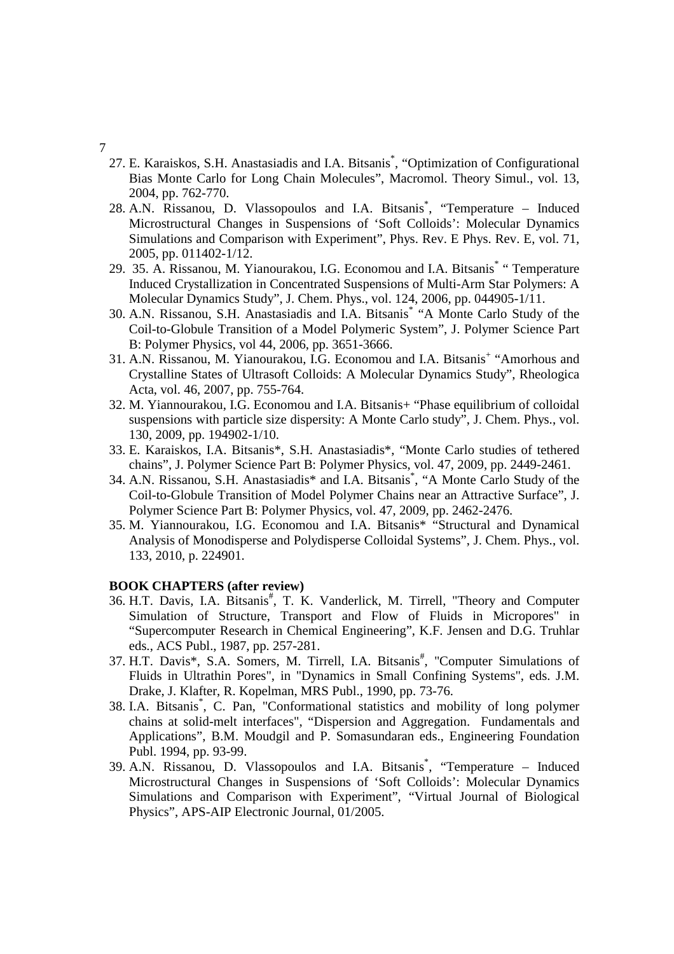#### 7

- 27. E. Karaiskos, S.H. Anastasiadis and I.A. Bitsanis\* , "Optimization of Configurational Bias Monte Carlo for Long Chain Molecules", Macromol. Theory Simul., vol. 13, 2004, pp. 762-770.
- 28. A.N. Rissanou, D. Vlassopoulos and I.A. Bitsanis<sup>\*</sup>, "Temperature Induced Microstructural Changes in Suspensions of 'Soft Colloids': Molecular Dynamics Simulations and Comparison with Experiment", Phys. Rev. E Phys. Rev. E, vol. 71, 2005, pp. 011402-1/12.
- 29. 35. A. Rissanou, M. Yianourakou, I.G. Economou and I.A. Bitsanis<sup>\*</sup> "Temperature Induced Crystallization in Concentrated Suspensions of Multi-Arm Star Polymers: A Molecular Dynamics Study", J. Chem. Phys., vol. 124, 2006, pp. 044905-1/11.
- 30. A.N. Rissanou, S.H. Anastasiadis and I.A. Bitsanis\* "A Monte Carlo Study of the Coil-to-Globule Transition of a Model Polymeric System", J. Polymer Science Part B: Polymer Physics, vol 44, 2006, pp. 3651-3666.
- 31. A.N. Rissanou, M. Yianourakou, I.G. Economou and I.A. Bitsanis<sup>+</sup> "Amorhous and Crystalline States of Ultrasoft Colloids: A Molecular Dynamics Study", Rheologica Acta, vol. 46, 2007, pp. 755-764.
- 32. M. Yiannourakou, I.G. Economou and I.A. Bitsanis+ "Phase equilibrium of colloidal suspensions with particle size dispersity: A Monte Carlo study", J. Chem. Phys., vol. 130, 2009, pp. 194902-1/10.
- 33. E. Karaiskos, I.A. Bitsanis\*, S.H. Anastasiadis\*, "Monte Carlo studies of tethered chains", J. Polymer Science Part B: Polymer Physics, vol. 47, 2009, pp. 2449-2461.
- 34. A.N. Rissanou, S.H. Anastasiadis\* and I.A. Bitsanis\* , "A Monte Carlo Study of the Coil-to-Globule Transition of Model Polymer Chains near an Attractive Surface", J. Polymer Science Part B: Polymer Physics, vol. 47, 2009, pp. 2462-2476.
- 35. M. Yiannourakou, I.G. Economou and I.A. Bitsanis\* "Structural and Dynamical Analysis of Monodisperse and Polydisperse Colloidal Systems", J. Chem. Phys., vol. 133, 2010, p. 224901.

# **BOOK CHAPTERS (after review)**

- 36. H.T. Davis, I.A. Bitsanis<sup>#</sup>, T. K. Vanderlick, M. Tirrell, "Theory and Computer Simulation of Structure, Transport and Flow of Fluids in Micropores" in "Supercomputer Research in Chemical Engineering", K.F. Jensen and D.G. Truhlar eds., ACS Publ., 1987, pp. 257-281.
- 37. H.T. Davis\*, S.A. Somers, M. Tirrell, I.A. Bitsanis<sup>#</sup>, "Computer Simulations of Fluids in Ultrathin Pores", in "Dynamics in Small Confining Systems", eds. J.M. Drake, J. Klafter, R. Kopelman, MRS Publ., 1990, pp. 73-76.
- 38. I.A. Bitsanis\* , C. Pan, "Conformational statistics and mobility of long polymer chains at solid-melt interfaces", "Dispersion and Aggregation. Fundamentals and Applications", B.M. Moudgil and P. Somasundaran eds., Engineering Foundation Publ. 1994, pp. 93-99.
- 39. A.N. Rissanou, D. Vlassopoulos and I.A. Bitsanis\* , "Temperature Induced Microstructural Changes in Suspensions of 'Soft Colloids': Molecular Dynamics Simulations and Comparison with Experiment", "Virtual Journal of Biological Physics", APS-AIP Electronic Journal, 01/2005.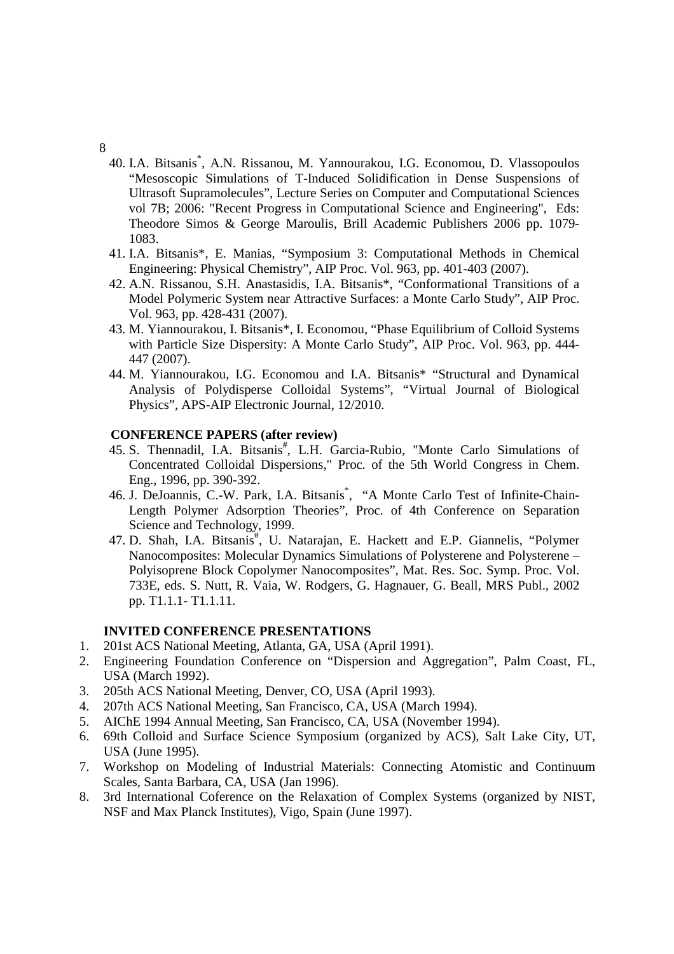- 8
- 40. I.A. Bitsanis\* , A.N. Rissanou, M. Yannourakou, I.G. Economou, D. Vlassopoulos "Mesoscopic Simulations of T-Induced Solidification in Dense Suspensions of Ultrasoft Supramolecules", Lecture Series on Computer and Computational Sciences vol 7B; 2006: "Recent Progress in Computational Science and Engineering", Eds: Theodore Simos & George Maroulis, Brill Academic Publishers 2006 pp. 1079- 1083.
- 41. I.A. Bitsanis\*, E. Manias, "Symposium 3: Computational Methods in Chemical Engineering: Physical Chemistry", AIP Proc. Vol. 963, pp. 401-403 (2007).
- 42. A.N. Rissanou, S.H. Anastasidis, I.A. Bitsanis\*, "Conformational Transitions of a Model Polymeric System near Attractive Surfaces: a Monte Carlo Study", AIP Proc. Vol. 963, pp. 428-431 (2007).
- 43. M. Yiannourakou, I. Bitsanis\*, I. Economou, "Phase Equilibrium of Colloid Systems with Particle Size Dispersity: A Monte Carlo Study", AIP Proc. Vol. 963, pp. 444- 447 (2007).
- 44. M. Yiannourakou, I.G. Economou and I.A. Bitsanis\* "Structural and Dynamical Analysis of Polydisperse Colloidal Systems", "Virtual Journal of Biological Physics", APS-AIP Electronic Journal, 12/2010.

### **CONFERENCE PAPERS (after review)**

- 45. S. Thennadil, I.A. Bitsanis<sup>#</sup>, L.H. Garcia-Rubio, "Monte Carlo Simulations of Concentrated Colloidal Dispersions," Proc. of the 5th World Congress in Chem. Eng., 1996, pp. 390-392.
- 46. J. DeJoannis, C.-W. Park, I.A. Bitsanis<sup>\*</sup>, "A Monte Carlo Test of Infinite-Chain-Length Polymer Adsorption Theories", Proc. of 4th Conference on Separation Science and Technology, 1999.
- 47. D. Shah, I.A. Bitsanis#, U. Natarajan, E. Hackett and E.P. Giannelis, "Polymer Nanocomposites: Molecular Dynamics Simulations of Polysterene and Polysterene – Polyisoprene Block Copolymer Nanocomposites", Mat. Res. Soc. Symp. Proc. Vol. 733E, eds. S. Nutt, R. Vaia, W. Rodgers, G. Hagnauer, G. Beall, MRS Publ., 2002 pp. T1.1.1- T1.1.11.

# **INVITED CONFERENCE PRESENTATIONS**

- 1. 201st ACS National Meeting, Atlanta, GA, USA (April 1991).
- 2. Engineering Foundation Conference on "Dispersion and Aggregation", Palm Coast, FL, USA (March 1992).
- 3. 205th ACS National Meeting, Denver, CO, USA (April 1993).
- 4. 207th ACS National Meeting, San Francisco, CA, USA (March 1994).
- 5. AIChE 1994 Annual Meeting, San Francisco, CA, USA (November 1994).
- 6. 69th Colloid and Surface Science Symposium (organized by ACS), Salt Lake City, UT, USA (June 1995).
- 7. Workshop on Modeling of Industrial Materials: Connecting Atomistic and Continuum Scales, Santa Barbara, CA, USA (Jan 1996).
- 8. 3rd International Coference on the Relaxation of Complex Systems (organized by NIST, NSF and Max Planck Institutes), Vigo, Spain (June 1997).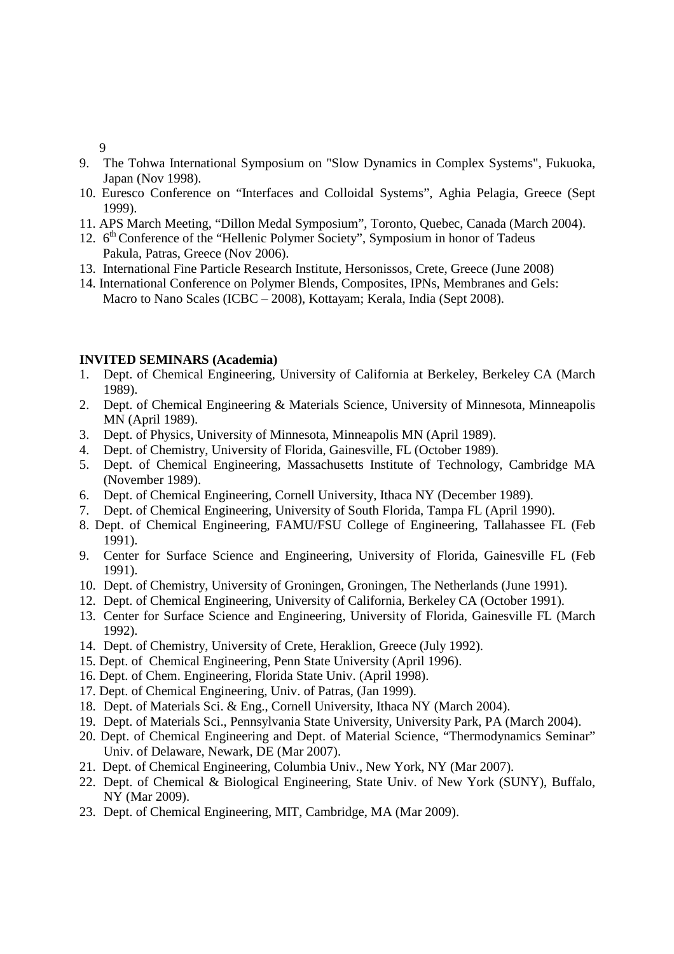9

- 9. The Tohwa International Symposium on "Slow Dynamics in Complex Systems", Fukuoka, Japan (Nov 1998).
- 10. Euresco Conference on "Interfaces and Colloidal Systems", Aghia Pelagia, Greece (Sept 1999).
- 11. APS March Meeting, "Dillon Medal Symposium", Toronto, Quebec, Canada (March 2004).
- 12.  $6<sup>th</sup>$  Conference of the "Hellenic Polymer Society", Symposium in honor of Tadeus Pakula, Patras, Greece (Nov 2006).
- 13. International Fine Particle Research Institute, Hersonissos, Crete, Greece (June 2008)
- 14. International Conference on Polymer Blends, Composites, IPNs, Membranes and Gels: Macro to Nano Scales (ICBC – 2008), Kottayam; Kerala, India (Sept 2008).

# **INVITED SEMINARS (Academia)**

- 1. Dept. of Chemical Engineering, University of California at Berkeley, Berkeley CA (March 1989).
- 2. Dept. of Chemical Engineering & Materials Science, University of Minnesota, Minneapolis MN (April 1989).
- 3. Dept. of Physics, University of Minnesota, Minneapolis MN (April 1989).
- 4. Dept. of Chemistry, University of Florida, Gainesville, FL (October 1989).
- 5. Dept. of Chemical Engineering, Massachusetts Institute of Technology, Cambridge MA (November 1989).
- 6. Dept. of Chemical Engineering, Cornell University, Ithaca NY (December 1989).
- 7. Dept. of Chemical Engineering, University of South Florida, Tampa FL (April 1990).
- 8. Dept. of Chemical Engineering, FAMU/FSU College of Engineering, Tallahassee FL (Feb 1991).
- 9. Center for Surface Science and Engineering, University of Florida, Gainesville FL (Feb 1991).
- 10. Dept. of Chemistry, University of Groningen, Groningen, The Netherlands (June 1991).
- 12. Dept. of Chemical Engineering, University of California, Berkeley CA (October 1991).
- 13. Center for Surface Science and Engineering, University of Florida, Gainesville FL (March 1992).
- 14. Dept. of Chemistry, University of Crete, Heraklion, Greece (July 1992).
- 15. Dept. of Chemical Engineering, Penn State University (April 1996).
- 16. Dept. of Chem. Engineering, Florida State Univ. (April 1998).
- 17. Dept. of Chemical Engineering, Univ. of Patras, (Jan 1999).
- 18. Dept. of Materials Sci. & Eng., Cornell University, Ithaca NY (March 2004).
- 19. Dept. of Materials Sci., Pennsylvania State University, University Park, PA (March 2004).
- 20. Dept. of Chemical Engineering and Dept. of Material Science, "Thermodynamics Seminar" Univ. of Delaware, Newark, DE (Mar 2007).
- 21. Dept. of Chemical Engineering, Columbia Univ., New York, NY (Mar 2007).
- 22. Dept. of Chemical & Biological Engineering, State Univ. of New York (SUNY), Buffalo, NY (Mar 2009).
- 23. Dept. of Chemical Engineering, MIT, Cambridge, MA (Mar 2009).